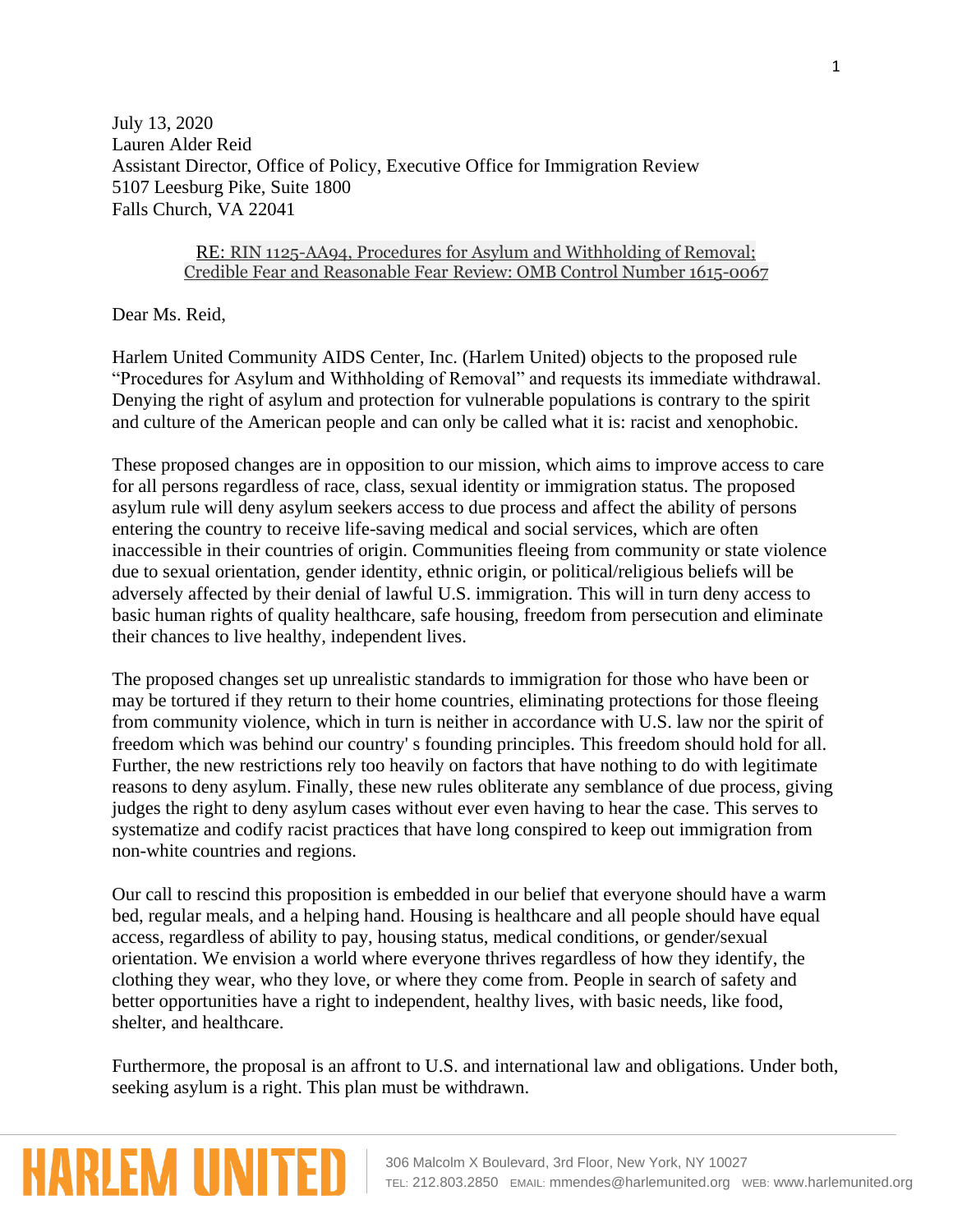July 13, 2020 Lauren Alder Reid Assistant Director, Office of Policy, Executive Office for Immigration Review 5107 Leesburg Pike, Suite 1800 Falls Church, VA 22041

## RE: RIN 1125-AA94, Procedures for Asylum and Withholding of Removal; Credible Fear and Reasonable Fear Review: OMB Control Number 1615-0067

Dear Ms. Reid,

**HARLEM UNIT** 

Harlem United Community AIDS Center, Inc. (Harlem United) objects to the proposed rule "Procedures for Asylum and Withholding of Removal" and requests its immediate withdrawal. Denying the right of asylum and protection for vulnerable populations is contrary to the spirit and culture of the American people and can only be called what it is: racist and xenophobic.

These proposed changes are in opposition to our mission, which aims to improve access to care for all persons regardless of race, class, sexual identity or immigration status. The proposed asylum rule will deny asylum seekers access to due process and affect the ability of persons entering the country to receive life-saving medical and social services, which are often inaccessible in their countries of origin. Communities fleeing from community or state violence due to sexual orientation, gender identity, ethnic origin, or political/religious beliefs will be adversely affected by their denial of lawful U.S. immigration. This will in turn deny access to basic human rights of quality healthcare, safe housing, freedom from persecution and eliminate their chances to live healthy, independent lives.

The proposed changes set up unrealistic standards to immigration for those who have been or may be tortured if they return to their home countries, eliminating protections for those fleeing from community violence, which in turn is neither in accordance with U.S. law nor the spirit of freedom which was behind our country' s founding principles. This freedom should hold for all. Further, the new restrictions rely too heavily on factors that have nothing to do with legitimate reasons to deny asylum. Finally, these new rules obliterate any semblance of due process, giving judges the right to deny asylum cases without ever even having to hear the case. This serves to systematize and codify racist practices that have long conspired to keep out immigration from non-white countries and regions.

Our call to rescind this proposition is embedded in our belief that everyone should have a warm bed, regular meals, and a helping hand. Housing is healthcare and all people should have equal access, regardless of ability to pay, housing status, medical conditions, or gender/sexual orientation. We envision a world where everyone thrives regardless of how they identify, the clothing they wear, who they love, or where they come from. People in search of safety and better opportunities have a right to independent, healthy lives, with basic needs, like food, shelter, and healthcare.

Furthermore, the proposal is an affront to U.S. and international law and obligations. Under both, seeking asylum is a right. This plan must be withdrawn.